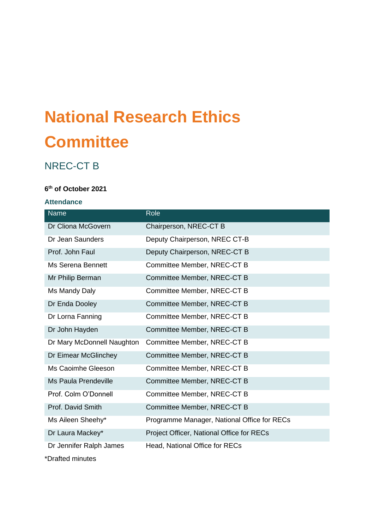# **National Research Ethics Committee**

# NREC-CT B

# **6 th of October 2021**

# **Attendance**

| <b>Name</b>                 | Role                                        |
|-----------------------------|---------------------------------------------|
| Dr Cliona McGovern          | Chairperson, NREC-CT B                      |
| Dr Jean Saunders            | Deputy Chairperson, NREC CT-B               |
| Prof. John Faul             | Deputy Chairperson, NREC-CT B               |
| Ms Serena Bennett           | Committee Member, NREC-CT B                 |
| Mr Philip Berman            | Committee Member, NREC-CT B                 |
| Ms Mandy Daly               | Committee Member, NREC-CT B                 |
| Dr Enda Dooley              | Committee Member, NREC-CT B                 |
| Dr Lorna Fanning            | Committee Member, NREC-CT B                 |
| Dr John Hayden              | Committee Member, NREC-CT B                 |
| Dr Mary McDonnell Naughton  | Committee Member, NREC-CT B                 |
| Dr Eimear McGlinchey        | Committee Member, NREC-CT B                 |
| Ms Caoimhe Gleeson          | Committee Member, NREC-CT B                 |
| <b>Ms Paula Prendeville</b> | Committee Member, NREC-CT B                 |
| Prof. Colm O'Donnell        | Committee Member, NREC-CT B                 |
| Prof. David Smith           | Committee Member, NREC-CT B                 |
| Ms Aileen Sheehy*           | Programme Manager, National Office for RECs |
| Dr Laura Mackey*            | Project Officer, National Office for RECs   |
| Dr Jennifer Ralph James     | Head, National Office for RECs              |

\*Drafted minutes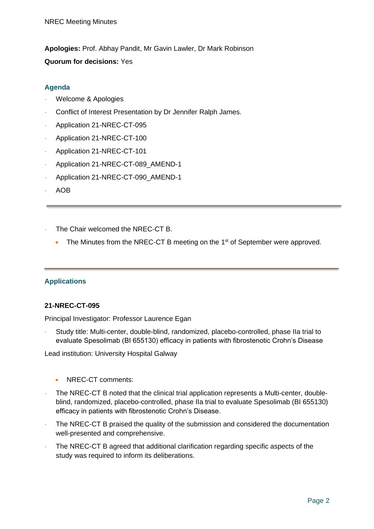**Apologies:** Prof. Abhay Pandit, Mr Gavin Lawler, Dr Mark Robinson **Quorum for decisions:** Yes

# **Agenda**

- Welcome & Apologies
- Conflict of Interest Presentation by Dr Jennifer Ralph James.
- Application 21-NREC-CT-095
- Application 21-NREC-CT-100
- Application 21-NREC-CT-101
- Application 21-NREC-CT-089\_AMEND-1
- Application 21-NREC-CT-090 AMEND-1
- AOB
- The Chair welcomed the NREC-CT B.
	- $\bullet$  The Minutes from the NREC-CT B meeting on the 1<sup>st</sup> of September were approved.

# **Applications**

#### **21-NREC-CT-095**

Principal Investigator: Professor Laurence Egan

Study title: Multi-center, double-blind, randomized, placebo-controlled, phase IIa trial to evaluate Spesolimab (BI 655130) efficacy in patients with fibrostenotic Crohn's Disease

Lead institution: University Hospital Galway

- NREC-CT comments:
- The NREC-CT B noted that the clinical trial application represents a Multi-center, doubleblind, randomized, placebo-controlled, phase IIa trial to evaluate Spesolimab (BI 655130) efficacy in patients with fibrostenotic Crohn's Disease.
- The NREC-CT B praised the quality of the submission and considered the documentation well-presented and comprehensive.
- The NREC-CT B agreed that additional clarification regarding specific aspects of the study was required to inform its deliberations.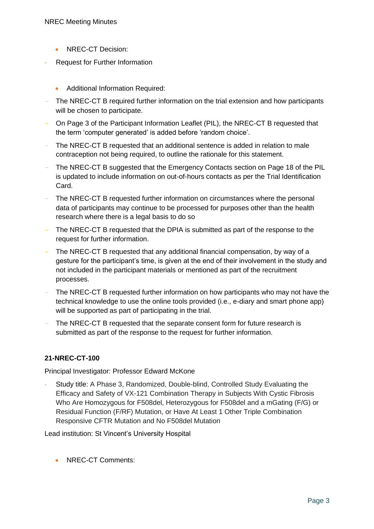- NREC-CT Decision:
- Request for Further Information
	- Additional Information Required:
- The NREC-CT B required further information on the trial extension and how participants will be chosen to participate.
- On Page 3 of the Participant Information Leaflet (PIL), the NREC-CT B requested that the term 'computer generated' is added before 'random choice'.
- The NREC-CT B requested that an additional sentence is added in relation to male contraception not being required, to outline the rationale for this statement.
- The NREC-CT B suggested that the Emergency Contacts section on Page 18 of the PIL is updated to include information on out-of-hours contacts as per the Trial Identification Card.
- The NREC-CT B requested further information on circumstances where the personal data of participants may continue to be processed for purposes other than the health research where there is a legal basis to do so
- The NREC-CT B requested that the DPIA is submitted as part of the response to the request for further information.
- The NREC-CT B requested that any additional financial compensation, by way of a gesture for the participant's time, is given at the end of their involvement in the study and not included in the participant materials or mentioned as part of the recruitment processes.
- The NREC-CT B requested further information on how participants who may not have the technical knowledge to use the online tools provided (i.e., e-diary and smart phone app) will be supported as part of participating in the trial.
- The NREC-CT B requested that the separate consent form for future research is submitted as part of the response to the request for further information.

# **21-NREC-CT-100**

Principal Investigator: Professor Edward McKone

Study title: A Phase 3, Randomized, Double-blind, Controlled Study Evaluating the Efficacy and Safety of VX-121 Combination Therapy in Subjects With Cystic Fibrosis Who Are Homozygous for F508del, Heterozygous for F508del and a mGating (F/G) or Residual Function (F/RF) Mutation, or Have At Least 1 Other Triple Combination Responsive CFTR Mutation and No F508del Mutation

Lead institution: St Vincent's University Hospital

• NREC-CT Comments: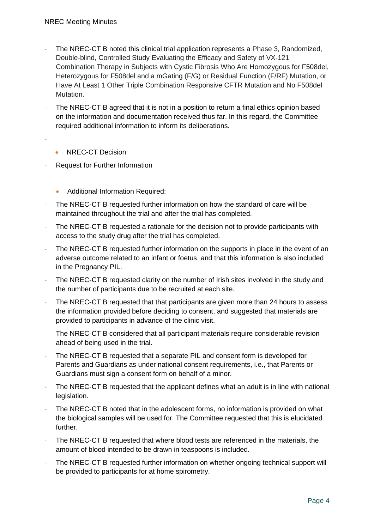- The NREC-CT B noted this clinical trial application represents a Phase 3, Randomized, Double-blind, Controlled Study Evaluating the Efficacy and Safety of VX-121 Combination Therapy in Subjects with Cystic Fibrosis Who Are Homozygous for F508del, Heterozygous for F508del and a mGating (F/G) or Residual Function (F/RF) Mutation, or Have At Least 1 Other Triple Combination Responsive CFTR Mutation and No F508del Mutation.
- The NREC-CT B agreed that it is not in a position to return a final ethics opinion based on the information and documentation received thus far. In this regard, the Committee required additional information to inform its deliberations.
- -
- NREC-CT Decision:
- Request for Further Information
	- Additional Information Required:
- The NREC-CT B requested further information on how the standard of care will be maintained throughout the trial and after the trial has completed.
- The NREC-CT B requested a rationale for the decision not to provide participants with access to the study drug after the trial has completed.
- The NREC-CT B requested further information on the supports in place in the event of an adverse outcome related to an infant or foetus, and that this information is also included in the Pregnancy PIL.
- The NREC-CT B requested clarity on the number of Irish sites involved in the study and the number of participants due to be recruited at each site.
- The NREC-CT B requested that that participants are given more than 24 hours to assess the information provided before deciding to consent, and suggested that materials are provided to participants in advance of the clinic visit.
- The NREC-CT B considered that all participant materials require considerable revision ahead of being used in the trial.
- The NREC-CT B requested that a separate PIL and consent form is developed for Parents and Guardians as under national consent requirements, i.e., that Parents or Guardians must sign a consent form on behalf of a minor.
- The NREC-CT B requested that the applicant defines what an adult is in line with national legislation.
- The NREC-CT B noted that in the adolescent forms, no information is provided on what the biological samples will be used for. The Committee requested that this is elucidated further.
- The NREC-CT B requested that where blood tests are referenced in the materials, the amount of blood intended to be drawn in teaspoons is included.
- The NREC-CT B requested further information on whether ongoing technical support will be provided to participants for at home spirometry.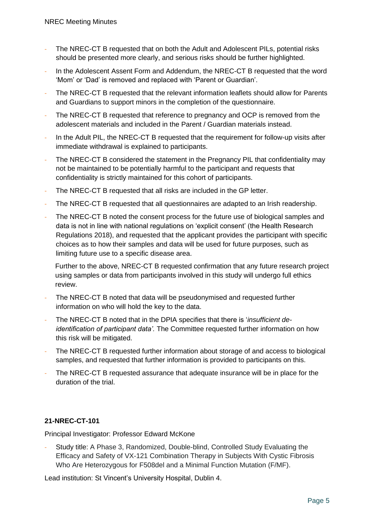- The NREC-CT B requested that on both the Adult and Adolescent PILs, potential risks should be presented more clearly, and serious risks should be further highlighted.
- In the Adolescent Assent Form and Addendum, the NREC-CT B requested that the word 'Mom' or 'Dad' is removed and replaced with 'Parent or Guardian'.
- The NREC-CT B requested that the relevant information leaflets should allow for Parents and Guardians to support minors in the completion of the questionnaire.
- The NREC-CT B requested that reference to pregnancy and OCP is removed from the adolescent materials and included in the Parent / Guardian materials instead.
- In the Adult PIL, the NREC-CT B requested that the requirement for follow-up visits after immediate withdrawal is explained to participants.
- The NREC-CT B considered the statement in the Pregnancy PIL that confidentiality may not be maintained to be potentially harmful to the participant and requests that confidentiality is strictly maintained for this cohort of participants.
- The NREC-CT B requested that all risks are included in the GP letter.
- The NREC-CT B requested that all questionnaires are adapted to an Irish readership.
- The NREC-CT B noted the consent process for the future use of biological samples and data is not in line with national regulations on 'explicit consent' (the Health Research Regulations 2018), and requested that the applicant provides the participant with specific choices as to how their samples and data will be used for future purposes, such as limiting future use to a specific disease area.

Further to the above, NREC-CT B requested confirmation that any future research project using samples or data from participants involved in this study will undergo full ethics review.

- The NREC-CT B noted that data will be pseudonymised and requested further information on who will hold the key to the data.
- The NREC-CT B noted that in the DPIA specifies that there is '*insufficient deidentification of participant data'.* The Committee requested further information on how this risk will be mitigated.
- The NREC-CT B requested further information about storage of and access to biological samples, and requested that further information is provided to participants on this.
- The NREC-CT B requested assurance that adequate insurance will be in place for the duration of the trial.

# **21-NREC-CT-101**

Principal Investigator: Professor Edward McKone

- Study title: A Phase 3, Randomized, Double-blind, Controlled Study Evaluating the Efficacy and Safety of VX-121 Combination Therapy in Subjects With Cystic Fibrosis Who Are Heterozygous for F508del and a Minimal Function Mutation (F/MF).

Lead institution: St Vincent's University Hospital, Dublin 4.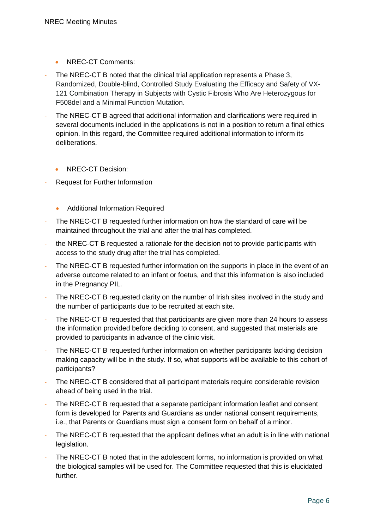- NREC-CT Comments:
- The NREC-CT B noted that the clinical trial application represents a Phase 3, Randomized, Double-blind, Controlled Study Evaluating the Efficacy and Safety of VX-121 Combination Therapy in Subjects with Cystic Fibrosis Who Are Heterozygous for F508del and a Minimal Function Mutation.
- The NREC-CT B agreed that additional information and clarifications were required in several documents included in the applications is not in a position to return a final ethics opinion. In this regard, the Committee required additional information to inform its deliberations.
	- NREC-CT Decision:
- Request for Further Information
	- Additional Information Required
- The NREC-CT B requested further information on how the standard of care will be maintained throughout the trial and after the trial has completed.
- the NREC-CT B requested a rationale for the decision not to provide participants with access to the study drug after the trial has completed.
- The NREC-CT B requested further information on the supports in place in the event of an adverse outcome related to an infant or foetus, and that this information is also included in the Pregnancy PIL.
- The NREC-CT B requested clarity on the number of Irish sites involved in the study and the number of participants due to be recruited at each site.
- The NREC-CT B requested that that participants are given more than 24 hours to assess the information provided before deciding to consent, and suggested that materials are provided to participants in advance of the clinic visit.
- The NREC-CT B requested further information on whether participants lacking decision making capacity will be in the study. If so, what supports will be available to this cohort of participants?
- The NREC-CT B considered that all participant materials require considerable revision ahead of being used in the trial.
- The NREC-CT B requested that a separate participant information leaflet and consent form is developed for Parents and Guardians as under national consent requirements, i.e., that Parents or Guardians must sign a consent form on behalf of a minor.
- The NREC-CT B requested that the applicant defines what an adult is in line with national legislation.
- The NREC-CT B noted that in the adolescent forms, no information is provided on what the biological samples will be used for. The Committee requested that this is elucidated further.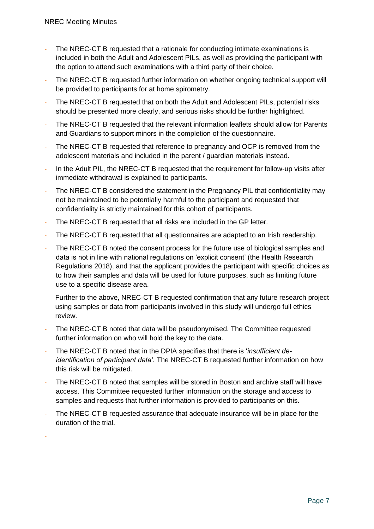-

- The NREC-CT B requested that a rationale for conducting intimate examinations is included in both the Adult and Adolescent PILs, as well as providing the participant with the option to attend such examinations with a third party of their choice.
- The NREC-CT B requested further information on whether ongoing technical support will be provided to participants for at home spirometry.
- The NREC-CT B requested that on both the Adult and Adolescent PILs, potential risks should be presented more clearly, and serious risks should be further highlighted.
- The NREC-CT B requested that the relevant information leaflets should allow for Parents and Guardians to support minors in the completion of the questionnaire.
- The NREC-CT B requested that reference to pregnancy and OCP is removed from the adolescent materials and included in the parent / guardian materials instead.
- In the Adult PIL, the NREC-CT B requested that the requirement for follow-up visits after immediate withdrawal is explained to participants.
- The NREC-CT B considered the statement in the Pregnancy PIL that confidentiality may not be maintained to be potentially harmful to the participant and requested that confidentiality is strictly maintained for this cohort of participants.
- The NREC-CT B requested that all risks are included in the GP letter.
- The NREC-CT B requested that all questionnaires are adapted to an Irish readership.
- The NREC-CT B noted the consent process for the future use of biological samples and data is not in line with national regulations on 'explicit consent' (the Health Research Regulations 2018), and that the applicant provides the participant with specific choices as to how their samples and data will be used for future purposes, such as limiting future use to a specific disease area.

Further to the above, NREC-CT B requested confirmation that any future research project using samples or data from participants involved in this study will undergo full ethics review.

- The NREC-CT B noted that data will be pseudonymised. The Committee requested further information on who will hold the key to the data.
- The NREC-CT B noted that in the DPIA specifies that there is '*insufficient deidentification of participant data'.* The NREC-CT B requested further information on how this risk will be mitigated.
- The NREC-CT B noted that samples will be stored in Boston and archive staff will have access. This Committee requested further information on the storage and access to samples and requests that further information is provided to participants on this.
- The NREC-CT B requested assurance that adequate insurance will be in place for the duration of the trial.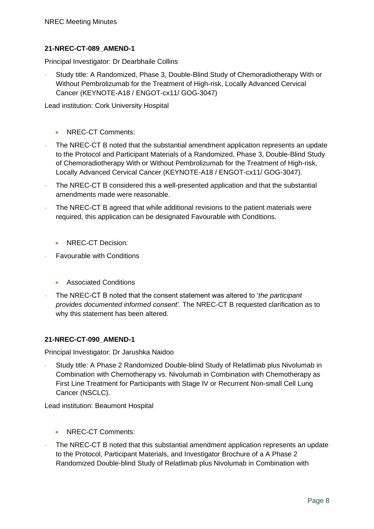# **21-NREC-CT-089\_AMEND-1**

Principal Investigator: Dr Dearbhaile Collins

- Study title: A Randomized, Phase 3, Double-Blind Study of Chemoradiotherapy With or Without Pembrolizumab for the Treatment of High-risk, Locally Advanced Cervical Cancer (KEYNOTE-A18 / ENGOT-cx11/ GOG-3047)

Lead institution: Cork University Hospital

- NREC-CT Comments:
- The NREC-CT B noted that the substantial amendment application represents an update to the Protocol and Participant Materials of a Randomized, Phase 3, Double-Blind Study of Chemoradiotherapy With or Without Pembrolizumab for the Treatment of High-risk, Locally Advanced Cervical Cancer (KEYNOTE-A18 / ENGOT-cx11/ GOG-3047).
- The NREC-CT B considered this a well-presented application and that the substantial amendments made were reasonable.
- The NREC-CT B agreed that while additional revisions to the patient materials were required, this application can be designated Favourable with Conditions.
	- NREC-CT Decision:
- Favourable with Conditions
	- Associated Conditions
- The NREC-CT B noted that the consent statement was altered to '*the participant provides documented informed consent'*. The NREC-CT B requested clarification as to why this statement has been altered.

# **21-NREC-CT-090\_AMEND-1**

Principal Investigator: Dr Jarushka Naidoo

Study title: A Phase 2 Randomized Double-blind Study of Relatlimab plus Nivolumab in Combination with Chemotherapy vs. Nivolumab in Combination with Chemotherapy as First Line Treatment for Participants with Stage IV or Recurrent Non-small Cell Lung Cancer (NSCLC).

Lead institution: Beaumont Hospital

- NREC-CT Comments:
- The NREC-CT B noted that this substantial amendment application represents an update to the Protocol, Participant Materials, and Investigator Brochure of a A Phase 2 Randomized Double-blind Study of Relatlimab plus Nivolumab in Combination with